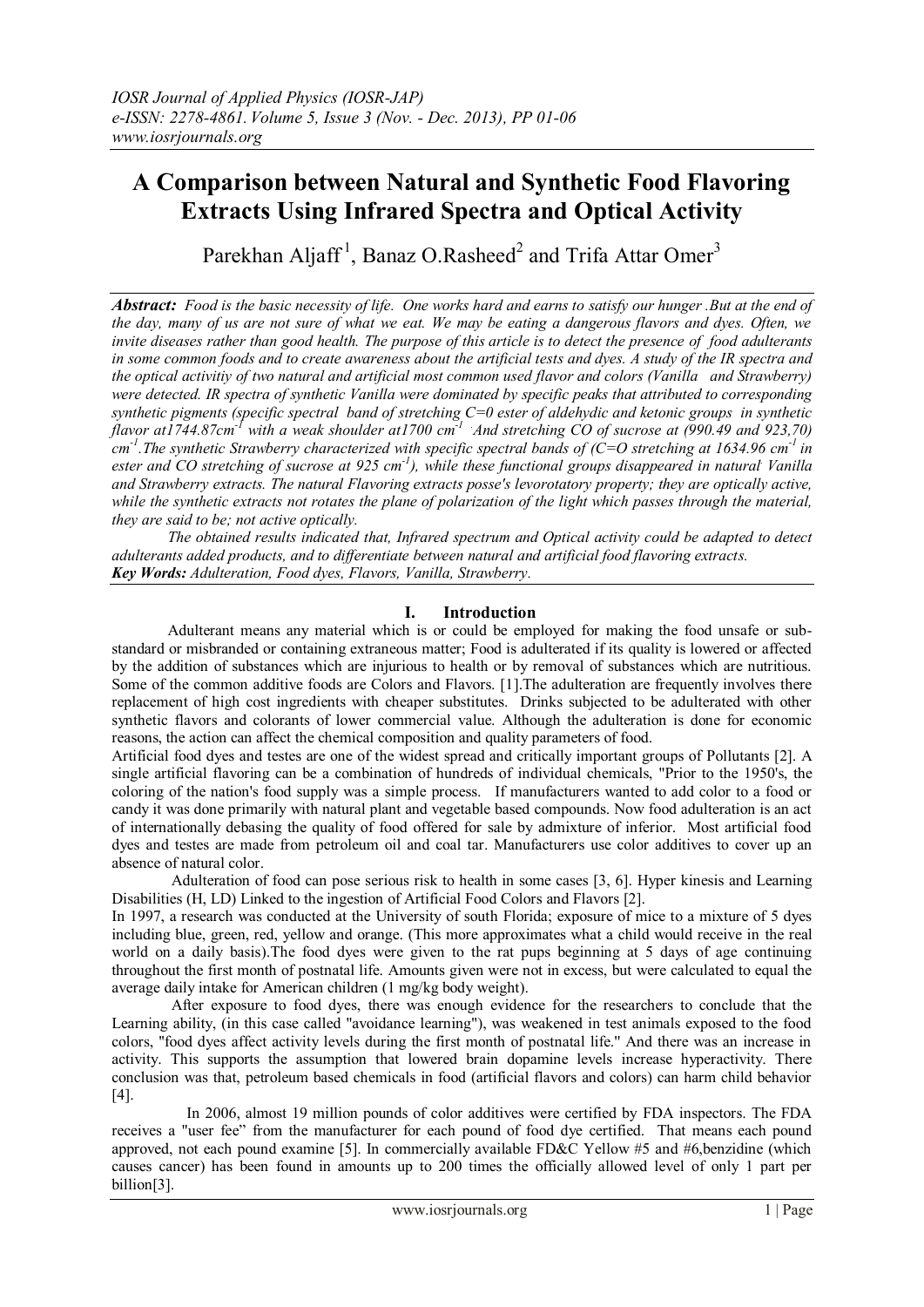# **A Comparison between Natural and Synthetic Food Flavoring Extracts Using Infrared Spectra and Optical Activity**

Parekhan Aljaff<sup>1</sup>, Banaz O.Rasheed<sup>2</sup> and Trifa Attar Omer<sup>3</sup>

*Abstract: Food is the basic necessity of life. One works hard and earns to satisfy our hunger .But at the end of the day, many of us are not sure of what we eat. We may be eating a dangerous flavors and dyes. Often, we invite diseases rather than good health. The purpose of this article is to detect the presence of food adulterants in some common foods and to create awareness about the artificial tests and dyes. A study of the IR spectra and the optical activitiy of two natural and artificial most common used flavor and colors (Vanilla and Strawberry) were detected. IR spectra of synthetic Vanilla were dominated by specific peaks that attributed to corresponding synthetic pigments (specific spectral band of stretching C=0 ester of aldehydic and ketonic groups in synthetic flavor at1744.87cm-1 with a weak shoulder at1700 cm -1 .And stretching CO of sucrose at (990.49 and 923,70) cm -1 .The synthetic Strawberry characterized with specific spectral bands of (C=O stretching at 1634.96 cm -1 in ester and CO stretching of sucrose at 925 cm -1 ), while these functional groups disappeared in natural. Vanilla and Strawberry extracts. The natural Flavoring extracts posse's levorotatory property; they are optically active, while the synthetic extracts not rotates the plane of polarization of the light which passes through the material, they are said to be; not active optically.*

*The obtained results indicated that, Infrared spectrum and Optical activity could be adapted to detect adulterants added products, and to differentiate between natural and artificial food flavoring extracts. Key Words: Adulteration, Food dyes, Flavors, Vanilla, Strawberry.*

# **I. Introduction**

Adulterant means any material which is or could be employed for making the food unsafe or substandard or misbranded or containing extraneous matter; Food is adulterated if its quality is lowered or affected by the addition of substances which are injurious to health or by removal of substances which are nutritious. Some of the common additive foods are Colors and Flavors. [1].The adulteration are frequently involves there replacement of high cost ingredients with cheaper substitutes. Drinks subjected to be adulterated with other synthetic flavors and colorants of lower commercial value. Although the adulteration is done for economic reasons, the action can affect the chemical composition and quality parameters of food.

Artificial food dyes and testes are one of the widest spread and critically important groups of Pollutants [2]. A single artificial flavoring can be a combination of hundreds of individual chemicals, "Prior to the 1950's, the coloring of the nation's food supply was a simple process. If manufacturers wanted to add color to a food or candy it was done primarily with natural plant and vegetable based compounds. Now food adulteration is an act of internationally debasing the quality of food offered for sale by admixture of inferior. Most artificial food dyes and testes are made from petroleum oil and coal tar. Manufacturers use color additives to cover up an absence of natural color.

Adulteration of food can pose serious risk to health in some cases [3, 6]. Hyper kinesis and Learning Disabilities (H, LD) Linked to the ingestion of Artificial Food Colors and Flavors [2].

In 1997, a research was conducted at the University of south Florida; exposure of mice to a mixture of 5 dyes including blue, green, red, yellow and orange. (This more approximates what a child would receive in the real world on a daily basis).The food dyes were given to the rat pups beginning at 5 days of age continuing throughout the first month of postnatal life. Amounts given were not in excess, but were calculated to equal the average daily intake for American children (1 mg/kg body weight).

After exposure to food dyes, there was enough evidence for the researchers to conclude that the Learning ability, (in this case called "avoidance learning"), was weakened in test animals exposed to the food colors, ''food dyes affect activity levels during the first month of postnatal life.'' And there was an increase in activity. This supports the assumption that lowered brain dopamine levels increase hyperactivity. There conclusion was that, petroleum based chemicals in food (artificial flavors and colors) can harm child behavior [4].

 In 2006, almost 19 million pounds of color additives were certified by FDA inspectors. The FDA receives a "user fee" from the manufacturer for each pound of food dye certified. That means each pound approved, not each pound examine [5]. In commercially available FD&C Yellow #5 and #6,benzidine (which causes cancer) has been found in amounts up to 200 times the officially allowed level of only 1 part per billion[3].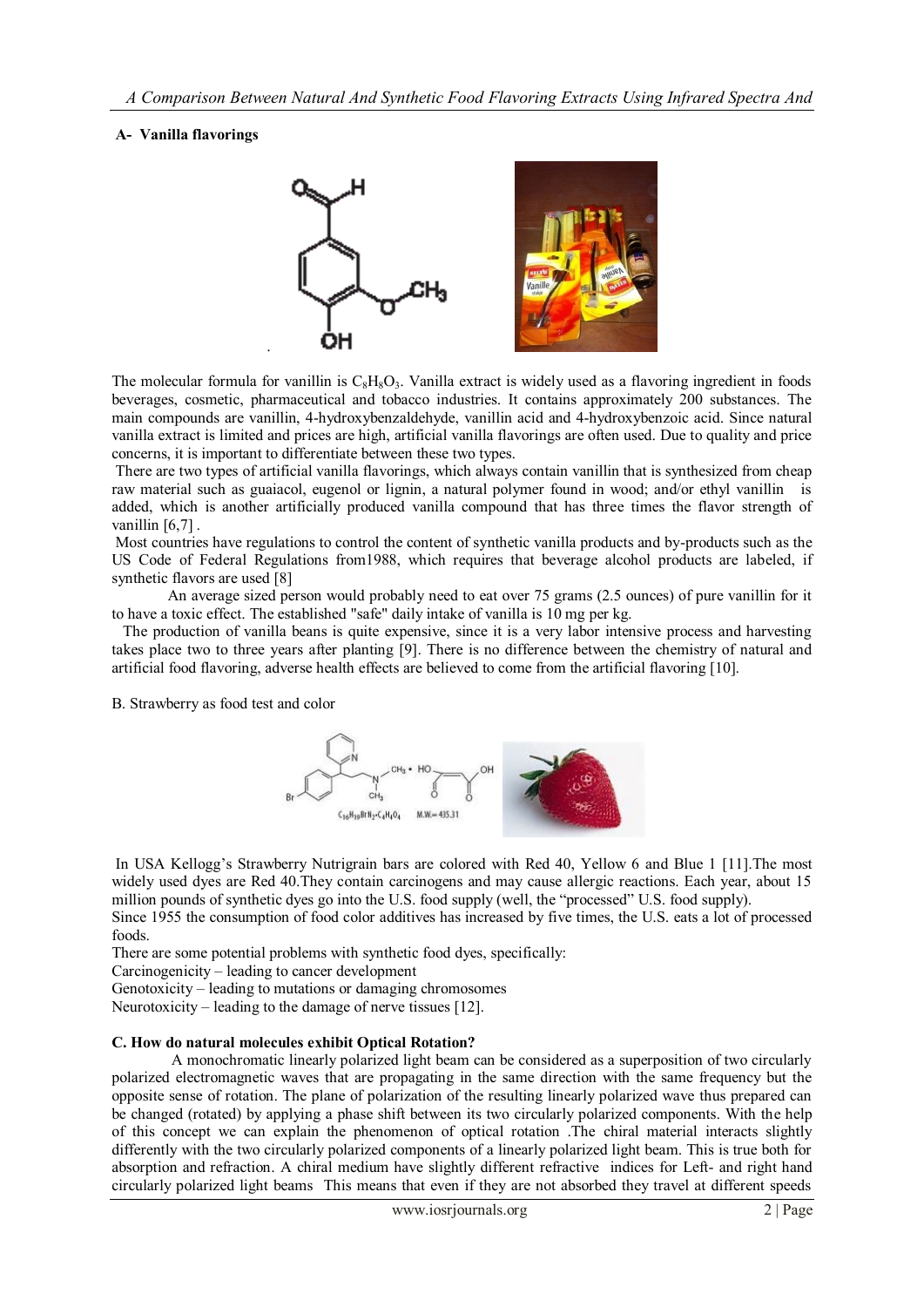### **A- Vanilla flavorings**



The molecular formula for vanillin is  $C_8H_8O_3$ . Vanilla extract is widely used as a flavoring ingredient in foods beverages, cosmetic, pharmaceutical and tobacco industries. It contains approximately 200 substances. The main compounds are vanillin, 4-hydroxybenzaldehyde, vanillin acid and 4-hydroxybenzoic acid. Since natural vanilla extract is limited and prices are high, artificial vanilla flavorings are often used. Due to quality and price concerns, it is important to differentiate between these two types.

There are two types of artificial vanilla flavorings, which always contain vanillin that is synthesized from cheap raw material such as guaiacol, eugenol or lignin, a natural polymer found in wood; and/or ethyl vanillin is added, which is another artificially produced vanilla compound that has three times the flavor strength of vanillin [6,7].

Most countries have regulations to control the content of synthetic vanilla products and by-products such as the US Code of Federal Regulations from1988, which requires that beverage alcohol products are labeled, if synthetic flavors are used [8]

An average sized person would probably need to eat over 75 grams (2.5 ounces) of pure vanillin for it to have a toxic effect. The established "safe" daily intake of vanilla is 10 mg per kg.

 The production of vanilla beans is quite expensive, since it is a very labor intensive process and harvesting takes place two to three years after planting [9]. There is no difference between the chemistry of natural and artificial food flavoring, adverse health effects are believed to come from the artificial flavoring [10].

B. Strawberry as food test and color



In USA Kellogg's Strawberry Nutrigrain bars are colored with Red 40, Yellow 6 and Blue 1 [11].The most widely used dyes are Red 40. They contain carcinogens and may cause allergic reactions. Each year, about 15 million pounds of synthetic dyes go into the U.S. food supply (well, the "processed" U.S. food supply).

Since 1955 the consumption of food color additives has increased by five times, the U.S. eats a lot of processed foods.

There are some potential problems with synthetic food dyes, specifically:

Carcinogenicity – leading to cancer development

Genotoxicity – leading to mutations or damaging chromosomes

Neurotoxicity – leading to the damage of nerve tissues [12].

#### **C. How do natural molecules exhibit Optical Rotation?**

A monochromatic linearly polarized light beam can be considered as a superposition of two circularly polarized electromagnetic waves that are propagating in the same direction with the same frequency but the opposite sense of rotation. The plane of polarization of the resulting linearly polarized wave thus prepared can be changed (rotated) by applying a phase shift between its two circularly polarized components. With the help of this concept we can explain the phenomenon of optical rotation .The chiral material interacts slightly differently with the two circularly polarized components of a linearly polarized light beam. This is true both for absorption and refraction. A chiral medium have slightly different refractive indices for Left- and right hand circularly polarized light beams This means that even if they are not absorbed they travel at different speeds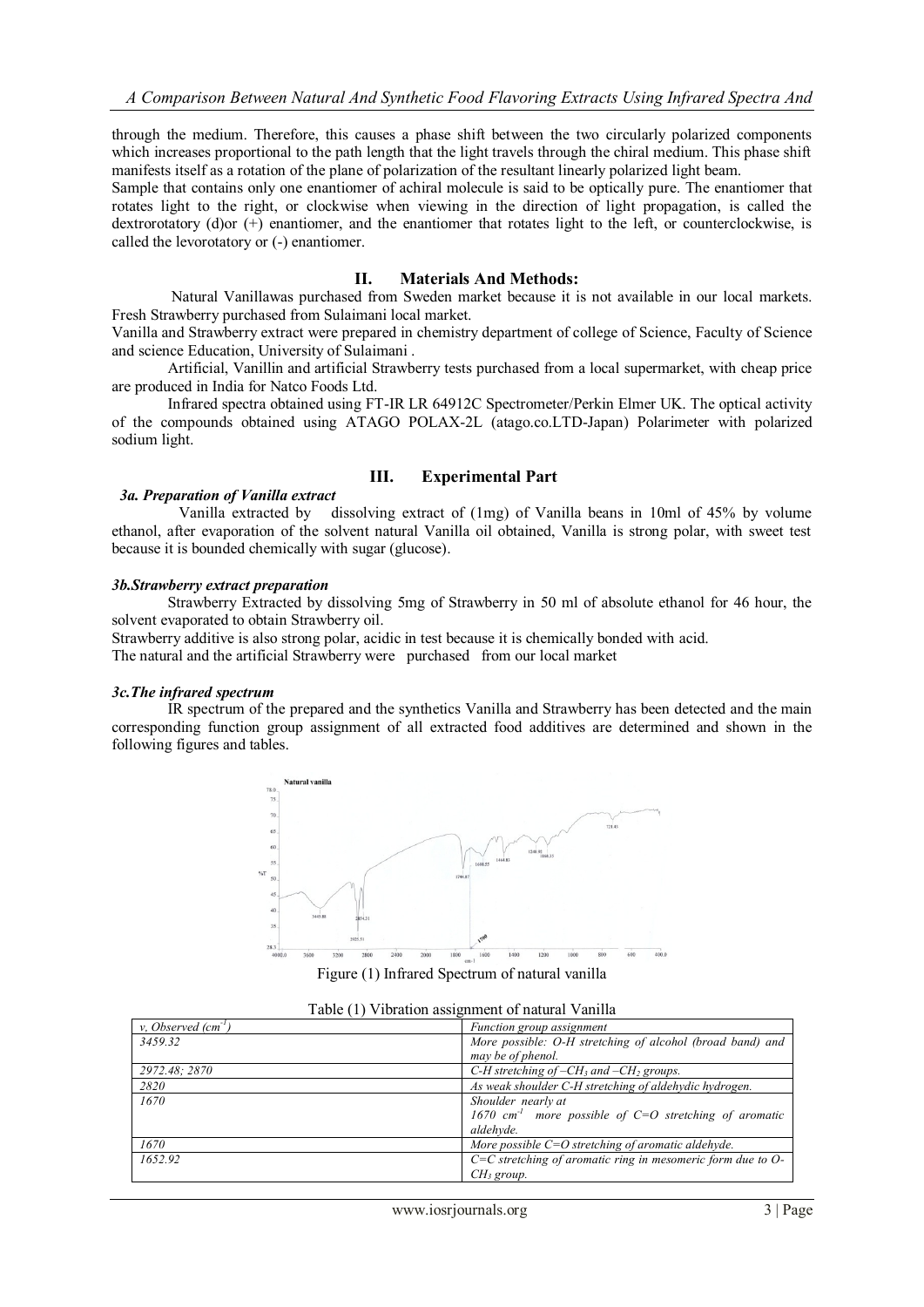through the medium. Therefore, this causes a phase shift between the two circularly polarized components which increases proportional to the path length that the light travels through the chiral medium. This phase shift manifests itself as a rotation of the plane of polarization of the resultant linearly polarized light beam.

Sample that contains only one enantiomer of achiral molecule is said to be optically pure. The enantiomer that rotates light to the right, or clockwise when viewing in the direction of light propagation, is called the dextrorotatory (d)or (+) enantiomer, and the enantiomer that rotates light to the left, or counterclockwise, is called the levorotatory or (-) enantiomer.

#### **II. Materials And Methods:**

 Natural Vanillawas purchased from Sweden market because it is not available in our local markets. Fresh Strawberry purchased from Sulaimani local market.

Vanilla and Strawberry extract were prepared in chemistry department of college of Science, Faculty of Science and science Education, University of Sulaimani .

Artificial, Vanillin and artificial Strawberry tests purchased from a local supermarket, with cheap price are produced in India for Natco Foods Ltd.

 Infrared spectra obtained using FT-IR LR 64912C Spectrometer/Perkin Elmer UK. The optical activity of the compounds obtained using ATAGO POLAX-2L (atago.co.LTD-Japan) Polarimeter with polarized sodium light.

#### **III. Experimental Part**

#### *3a. Preparation of Vanilla extract*

 Vanilla extracted by dissolving extract of (1mg) of Vanilla beans in 10ml of 45% by volume ethanol, after evaporation of the solvent natural Vanilla oil obtained, Vanilla is strong polar, with sweet test because it is bounded chemically with sugar (glucose).

#### *3b.Strawberry extract preparation*

Strawberry Extracted by dissolving 5mg of Strawberry in 50 ml of absolute ethanol for 46 hour, the solvent evaporated to obtain Strawberry oil.

Strawberry additive is also strong polar, acidic in test because it is chemically bonded with acid. The natural and the artificial Strawberry were purchased from our local market

#### *3c.The infrared spectrum*

IR spectrum of the prepared and the synthetics Vanilla and Strawberry has been detected and the main corresponding function group assignment of all extracted food additives are determined and shown in the following figures and tables.



Figure (1) Infrared Spectrum of natural vanilla

|  | Table (1) Vibration assignment of natural Vanilla |  |
|--|---------------------------------------------------|--|
|  |                                                   |  |

| v. Observed $(cm-1)$ | Function group assignment                                         |
|----------------------|-------------------------------------------------------------------|
| 3459.32              | More possible: O-H stretching of alcohol (broad band) and         |
|                      | may be of phenol.                                                 |
| 2972.48; 2870        | C-H stretching of $-CH_3$ and $-CH_2$ groups.                     |
| 2820                 | As weak shoulder C-H stretching of aldehydic hydrogen.            |
| 1670                 | Shoulder nearly at                                                |
|                      | 1670 cm <sup>-1</sup> more possible of C=O stretching of aromatic |
|                      | aldehyde.                                                         |
| 1670                 | More possible $C=O$ stretching of aromatic aldehyde.              |
| 1652.92              | $C=C$ stretching of aromatic ring in mesomeric form due to $O$ -  |
|                      | CH <sub>3</sub> group.                                            |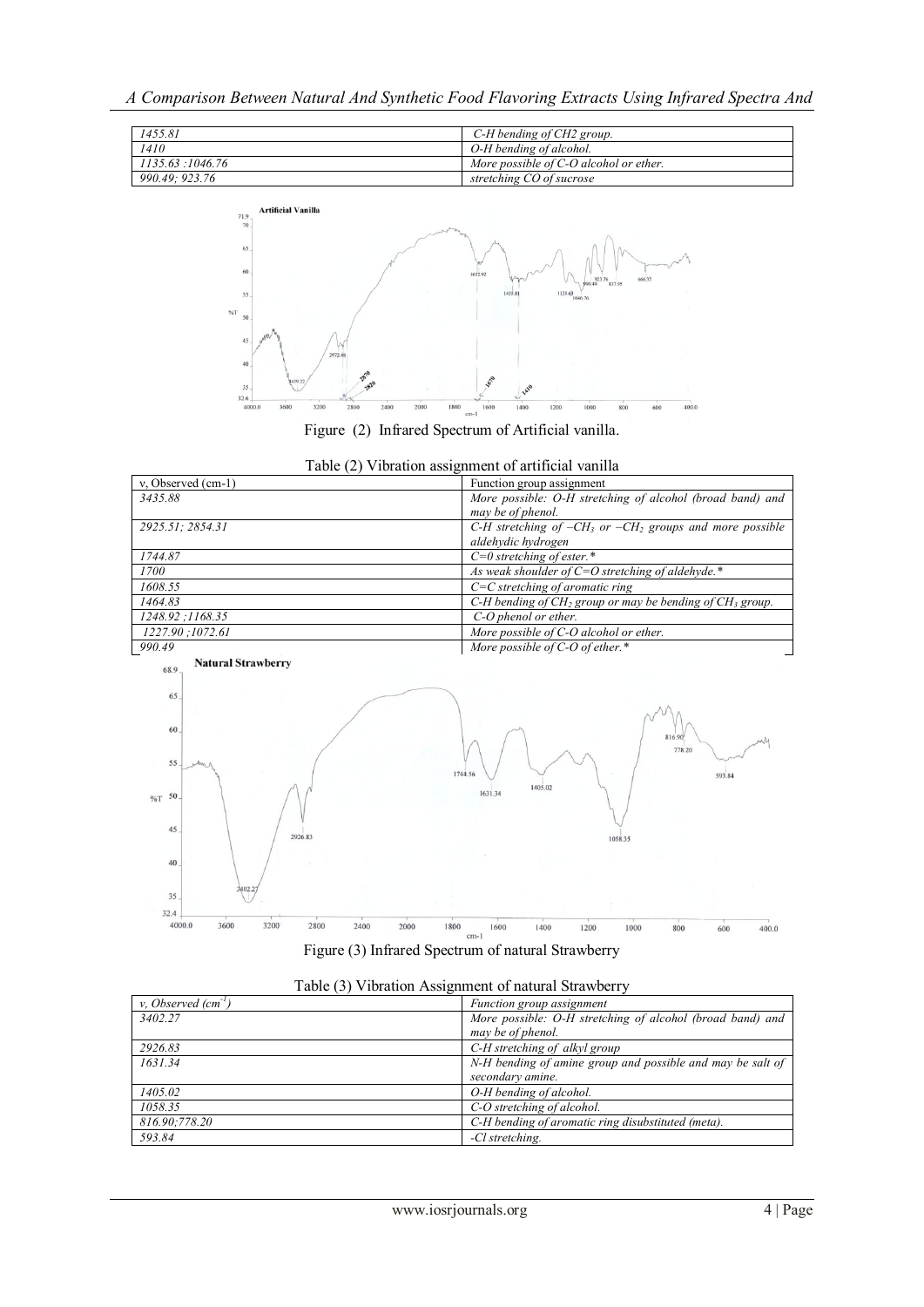*A Comparison Between Natural And Synthetic Food Flavoring Extracts Using Infrared Spectra And*





Figure (2) Infrared Spectrum of Artificial vanilla.





| v. Observed $(cm-1)$ | Function group assignment                                  |
|----------------------|------------------------------------------------------------|
| 3402.27              | More possible: O-H stretching of alcohol (broad band) and  |
|                      | may be of phenol.                                          |
| 2926.83              | C-H stretching of alkyl group                              |
| 1631.34              | N-H bending of amine group and possible and may be salt of |
|                      | secondary amine.                                           |
| 1405.02              | O-H bending of alcohol.                                    |
| 1058.35              | C-O stretching of alcohol.                                 |
| 816.90;778.20        | C-H bending of aromatic ring disubstituted (meta).         |
| 593.84               | -Cl stretching.                                            |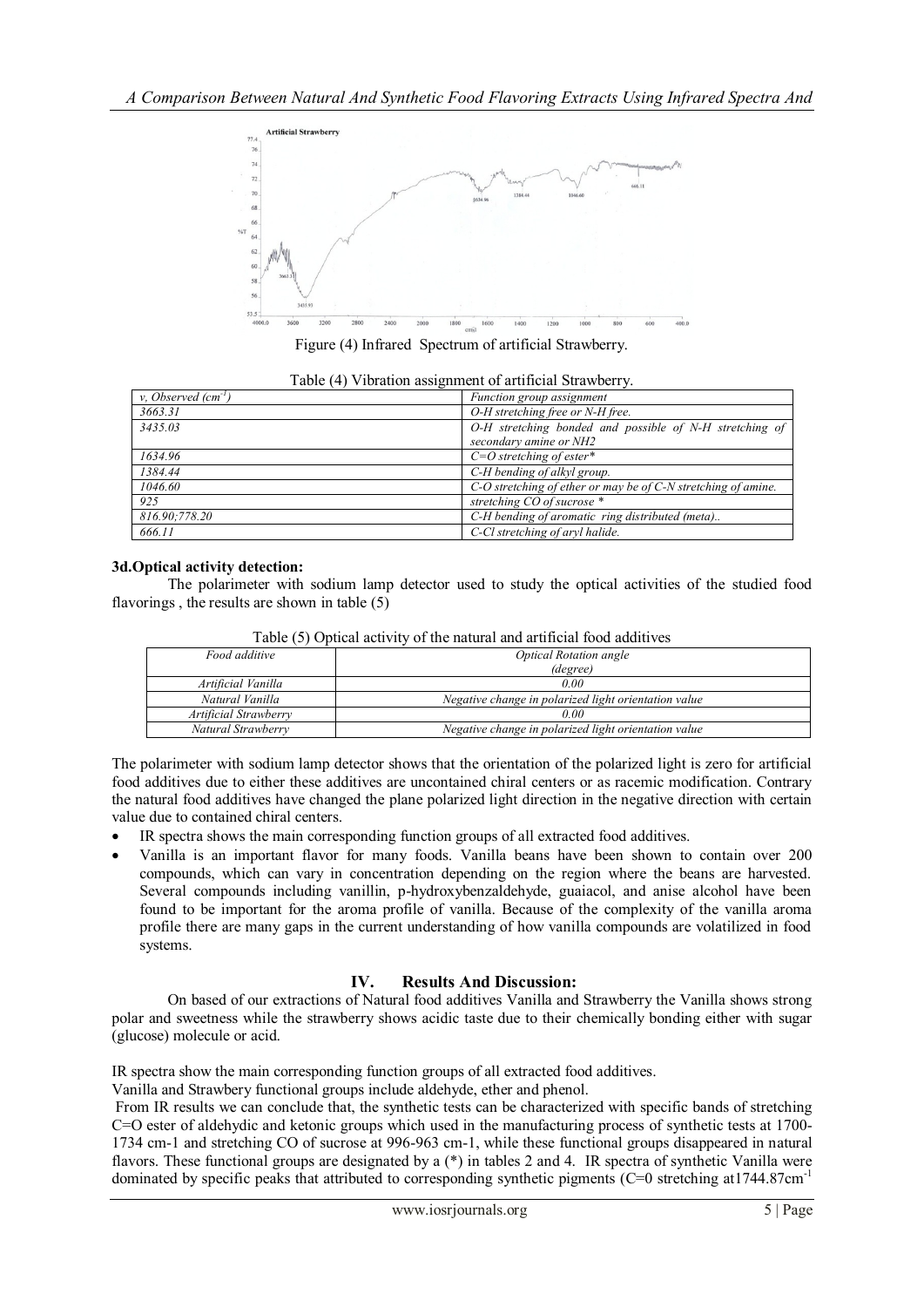

Figure (4) Infrared Spectrum of artificial Strawberry.

|  |  | Table (4) Vibration assignment of artificial Strawberry. |
|--|--|----------------------------------------------------------|
|  |  |                                                          |

| v. Observed $(cm-1)$ | Function group assignment                                           |
|----------------------|---------------------------------------------------------------------|
| 3663.31              | O-H stretching free or N-H free.                                    |
| 3435.03              | O-H stretching bonded and possible of N-H stretching of             |
|                      | secondary amine or NH2                                              |
| 1634.96              | $C=O$ stretching of ester*                                          |
| 1384.44              | C-H bending of alkyl group.                                         |
| 1046.60              | $C$ -O stretching of ether or may be of $C$ -N stretching of amine. |
| 925                  | stretching CO of sucrose *                                          |
| 816.90;778.20        | C-H bending of aromatic ring distributed (meta)                     |
| 666.11               | C-Cl stretching of aryl halide.                                     |

#### **3d.Optical activity detection:**

The polarimeter with sodium lamp detector used to study the optical activities of the studied food flavorings , the results are shown in table (5)

| Food additive         | <b>Optical Rotation angle</b>                        |  |
|-----------------------|------------------------------------------------------|--|
|                       | (degree)                                             |  |
| Artificial Vanilla    | 0.00                                                 |  |
| Natural Vanilla       | Negative change in polarized light orientation value |  |
| Artificial Strawberry | 0.00                                                 |  |
| Natural Strawberry    | Negative change in polarized light orientation value |  |

Table (5) Optical activity of the natural and artificial food additives

The polarimeter with sodium lamp detector shows that the orientation of the polarized light is zero for artificial food additives due to either these additives are uncontained chiral centers or as racemic modification. Contrary the natural food additives have changed the plane polarized light direction in the negative direction with certain value due to contained chiral centers.

- IR spectra shows the main corresponding function groups of all extracted food additives.
- Vanilla is an important flavor for many foods. Vanilla beans have been shown to contain over 200 compounds, which can vary in concentration depending on the region where the beans are harvested. Several compounds including vanillin, p-hydroxybenzaldehyde, guaiacol, and anise alcohol have been found to be important for the aroma profile of vanilla. Because of the complexity of the vanilla aroma profile there are many gaps in the current understanding of how vanilla compounds are volatilized in food systems.

## **IV. Results And Discussion:**

On based of our extractions of Natural food additives Vanilla and Strawberry the Vanilla shows strong polar and sweetness while the strawberry shows acidic taste due to their chemically bonding either with sugar (glucose) molecule or acid.

IR spectra show the main corresponding function groups of all extracted food additives.

Vanilla and Strawbery functional groups include aldehyde, ether and phenol.

From IR results we can conclude that, the synthetic tests can be characterized with specific bands of stretching C=O ester of aldehydic and ketonic groups which used in the manufacturing process of synthetic tests at 1700- 1734 cm-1 and stretching CO of sucrose at 996-963 cm-1, while these functional groups disappeared in natural flavors. These functional groups are designated by a  $(*)$  in tables 2 and 4. IR spectra of synthetic Vanilla were dominated by specific peaks that attributed to corresponding synthetic pigments (C=0 stretching at1744.87cm<sup>-1</sup>